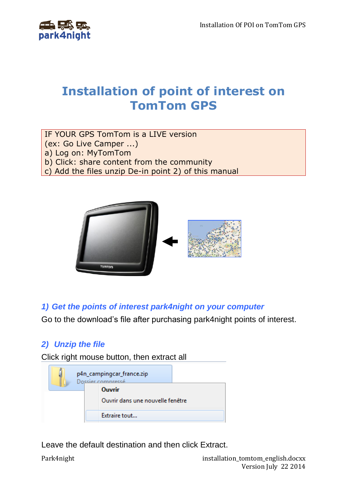

# **Installation of point of interest on TomTom GPS**

IF YOUR GPS TomTom is a LIVE version (ex: Go Live Camper ...)

a) Log on: MyTomTom

b) Click: share content from the community

c) Add the files unzip De-in point 2) of this manual



*1) Get the points of interest park4night on your computer*

Go to the download's file after purchasing park4night points of interest.

## *2) Unzip the file*

Click right mouse button, then extract all

| p4n_campingcar_france.zip<br>Dossier compressé |  |  |  |  |
|------------------------------------------------|--|--|--|--|
| Ouvrir                                         |  |  |  |  |
| Ouvrir dans une nouvelle fenêtre               |  |  |  |  |
| Extraire tout                                  |  |  |  |  |

Leave the default destination and then click Extract.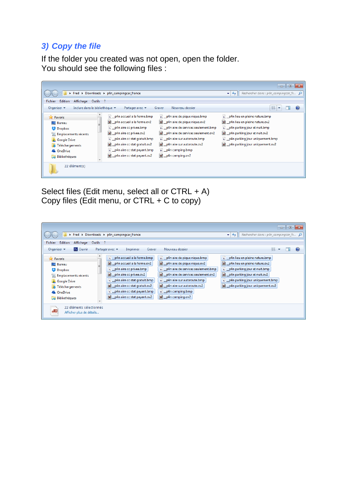### *3) Copy the file*

If the folder you created was not open, open the folder. You should see the following files :

|                                                                                                                                                                            | Fred > Downloads > p4n_campingcar_france                                                                                                                                                                                                                      |                                                                                                                                                                                                                                                                 | $\Box$ $\Box$<br>Rechercher dans : $p4n$ camping car fr $\bigcirc$<br>$-1+$                                                                                                                                        |
|----------------------------------------------------------------------------------------------------------------------------------------------------------------------------|---------------------------------------------------------------------------------------------------------------------------------------------------------------------------------------------------------------------------------------------------------------|-----------------------------------------------------------------------------------------------------------------------------------------------------------------------------------------------------------------------------------------------------------------|--------------------------------------------------------------------------------------------------------------------------------------------------------------------------------------------------------------------|
| Outils ?<br><b>Edition</b><br>Fichier<br>Affichage<br>Organiser $\blacktriangledown$<br>Inclure dans la bibliothèque v                                                     | Partager avec $\blacktriangledown$                                                                                                                                                                                                                            | Nouveau dossier<br>Graver                                                                                                                                                                                                                                       | 88                                                                                                                                                                                                                 |
| <b>X</b> Favoris<br><b>Bureau</b><br>Dropbox<br>Emplacements récents<br><b>Google Drive</b><br>Téléchargements<br>DA.<br><b>&amp;</b> OneDrive<br>Bibliothèques<br>Ē.<br>▼ | Ps _p4n accueil a la ferme.bmp<br>al p4n accueil a la ferme.ov2<br>Ps _p4n aire cc privee.bmp<br>p4n aire cc privee.ov2<br>Ps _p4n aire cc stat gratuit.bmp<br>p4n aire cc stat gratuit.ov2<br>Ps _p4n aire cc stat payant.bmp<br>p4n aire cc stat payant.ov2 | Ps _p4n aire de pique nique.bmp<br>d _p4n aire de pique nique.ov2<br>ps __ p4n aire de services seulement.bmp<br>p4n aire de services seulement.ov2<br>Ps _p4n aire sur autoroute.bmp<br>p4n aire sur autoroute.ov2<br>Ps _p4n camping.bmp<br>d p4n camping.ov2 | Ps _p4n lieu en pleine nature.bmp<br>p4n lieu en pleine nature.ov2<br>Ps _p4n parking jour et nuit.bmp<br>10 p4n parking jour et nuit.ov2<br>Ps p4n parking jour uniquement.bmp<br>p4n parking jour uniquement.ov2 |
| 22 élément(s)                                                                                                                                                              |                                                                                                                                                                                                                                                               |                                                                                                                                                                                                                                                                 |                                                                                                                                                                                                                    |

Select files (Edit menu, select all or CTRL + A) Copy files (Edit menu, or CTRL + C to copy)

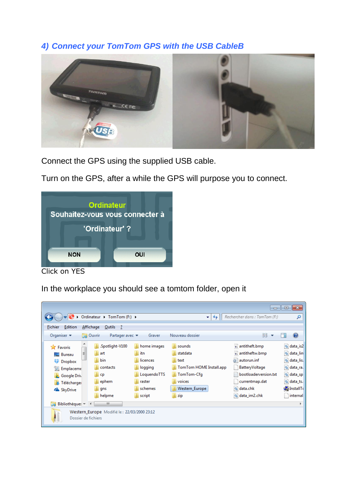#### *4) Connect your TomTom GPS with the USB CableB*



Connect the GPS using the supplied USB cable.

Turn on the GPS, after a while the GPS will purpose you to connect.



Click on YES

In the workplace you should see a tomtom folder, open it

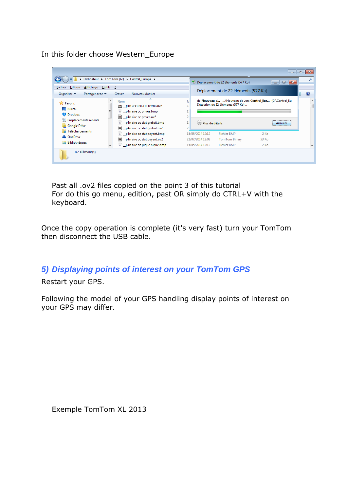In this folder choose Western\_Europe

| Edition<br>Affichage Outils ?<br><b>Fichier</b><br>Organiser $\blacktriangledown$<br>Partager avec $\blacktriangledown$                                              | > Ordinateur > TomTom (G:) > Central_Europe ><br>Nouveau dossier<br>Graver                                                                                                                                                                                                           |                                                                                                                                   | Déplacement de 22 éléments (577 Ko)<br>Déplacement de 22 éléments (577 Ko) |                         | $\mathbf{x}$<br>$\Box$<br>$\Box$ |  |
|----------------------------------------------------------------------------------------------------------------------------------------------------------------------|--------------------------------------------------------------------------------------------------------------------------------------------------------------------------------------------------------------------------------------------------------------------------------------|-----------------------------------------------------------------------------------------------------------------------------------|----------------------------------------------------------------------------|-------------------------|----------------------------------|--|
| <b>X</b> Favoris<br><b>Bureau</b><br>Dropbox<br>Emplacements récents<br><b>Google Drive</b><br><b>A</b> Téléchargements<br><b>C</b> OneDrive<br><b>Bibliothèques</b> | ≖<br><b>Nom</b><br>p4n accueil a la ferme.ov2<br>Ps __ p4n aire cc privee.bmp<br>p4n aire cc privee.ov2<br>Ps _p4n aire cc stat gratuit.bmp<br>10 _p4n aire cc stat gratuit.ov2<br>Ps _p4n aire cc stat payant.bmp<br>p4n aire cc stat payant.ov2<br>Ps _p4n aire de pique nique.bmp | de Nouveau d \Nouveau de vers Central_Eur (G:\Central_Eu<br>Détection de 22 éléments (577 Ko)<br>Dus de détails<br><b>Annuler</b> |                                                                            |                         |                                  |  |
|                                                                                                                                                                      |                                                                                                                                                                                                                                                                                      | 15/05/2014 12:12<br>22/07/2014 12:09<br>15/05/2014 12:12                                                                          | <b>Fichier BMP</b><br>TomTom Binary<br><b>Fichier BMP</b>                  | $2$ Ko<br>53 Ko<br>2 Ko |                                  |  |
| 82 élément(s)                                                                                                                                                        |                                                                                                                                                                                                                                                                                      |                                                                                                                                   |                                                                            |                         |                                  |  |

Past all .ov2 files copied on the point 3 of this tutorial For do this go menu, edition, past OR simply do CTRL+V with the keyboard.

Once the copy operation is complete (it's very fast) turn your TomTom then disconnect the USB cable.

*5) Displaying points of interest on your TomTom GPS*

Restart your GPS.

Following the model of your GPS handling display points of interest on your GPS may differ.

Exemple TomTom XL 2013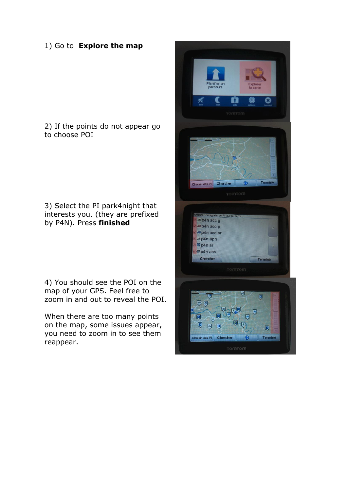#### 1) Go to **Explore the map**

2) If the points do not appear go to choose POI

3) Select the PI park4night that interests you. (they are prefixed by P4N). Press **finished**

4) You should see the POI on the map of your GPS. Feel free to zoom in and out to reveal the POI.

When there are too many points on the map, some issues appear, you need to zoom in to see them reappear.

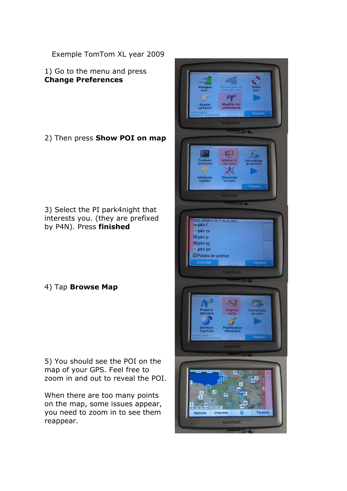Exemple TomTom XL year 2009

1) Go to the menu and press **Change Preferences**

2) Then press **Show POI on map**

3) Select the PI park4night that interests you. (they are prefixed by P4N). Press **finished**

4) Tap **Browse Map**

5) You should see the POI on the map of your GPS. Feel free to zoom in and out to reveal the POI.

When there are too many points on the map, some issues appear, you need to zoom in to see them reappear.